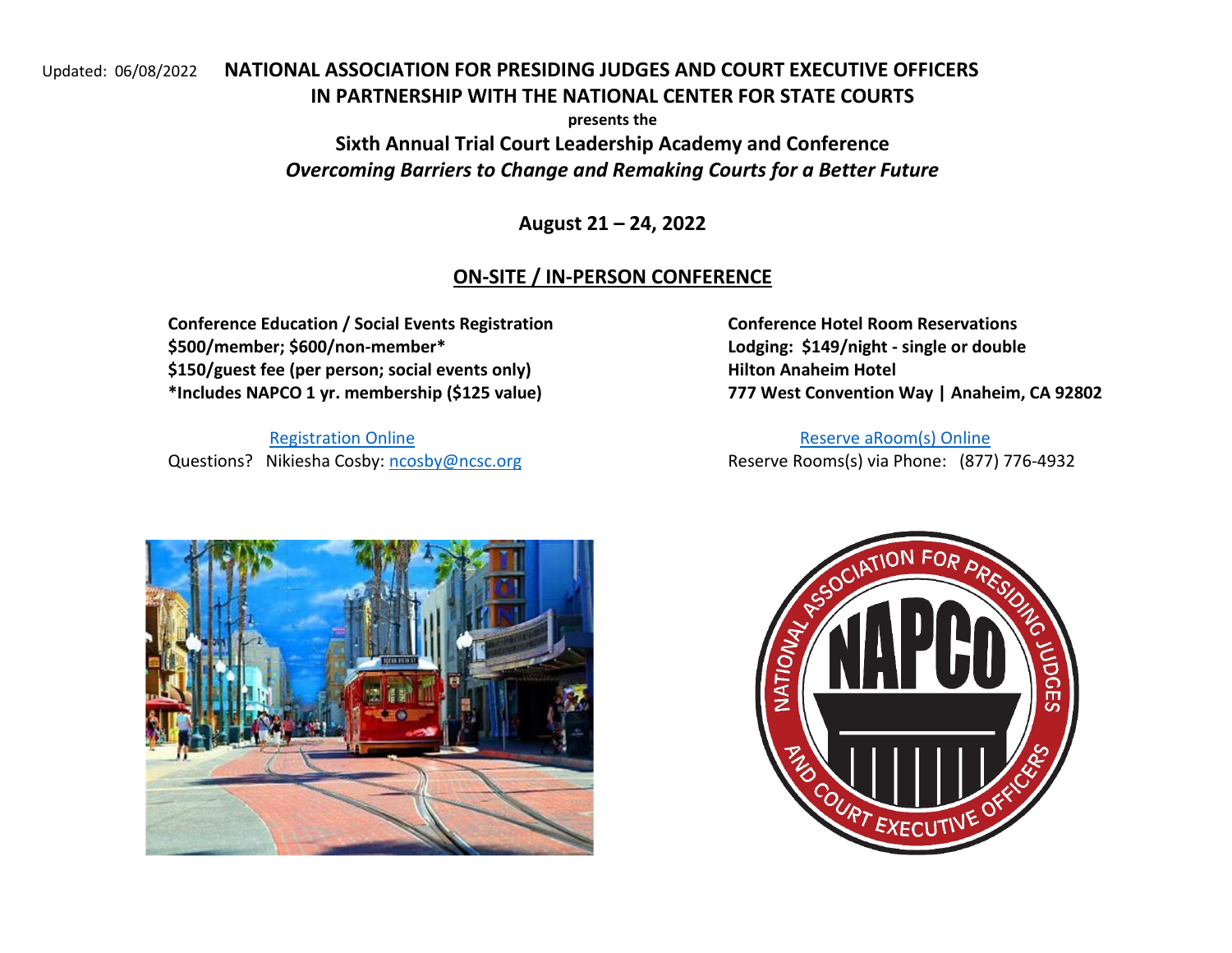## Updated: 06/08/2022 NATIONAL ASSOCIATION FOR PRESIDING JUDGES AND COURT EXECUTIVE OFFICERS IN PARTNERSHIP WITH THE NATIONAL CENTER FOR STATE COURTS

presents the Sixth Annual Trial Court Leadership Academy and Conference Overcoming Barriers to Change and Remaking Courts for a Better Future

August 21 – 24, 2022

# ON-SITE / IN-PERSON CONFERENCE

Conference Education / Social Events Registration Conference Hotel Room Reservations \$500/member; \$600/non-member\* Lodging: \$149/night - single or double \$150/guest fee (per person; social events only) Hilton Anaheim Hotel \*Includes NAPCO 1 yr. membership (\$125 value) 777 West Convention Way | Anaheim, CA 92802

Registration OnlineQuestions? Nikiesha Cosby: ncosby@ncsc.org

Reserve aRoom(s) Online<br>Reserve Rooms(s) via Phone: (877) 776-4932



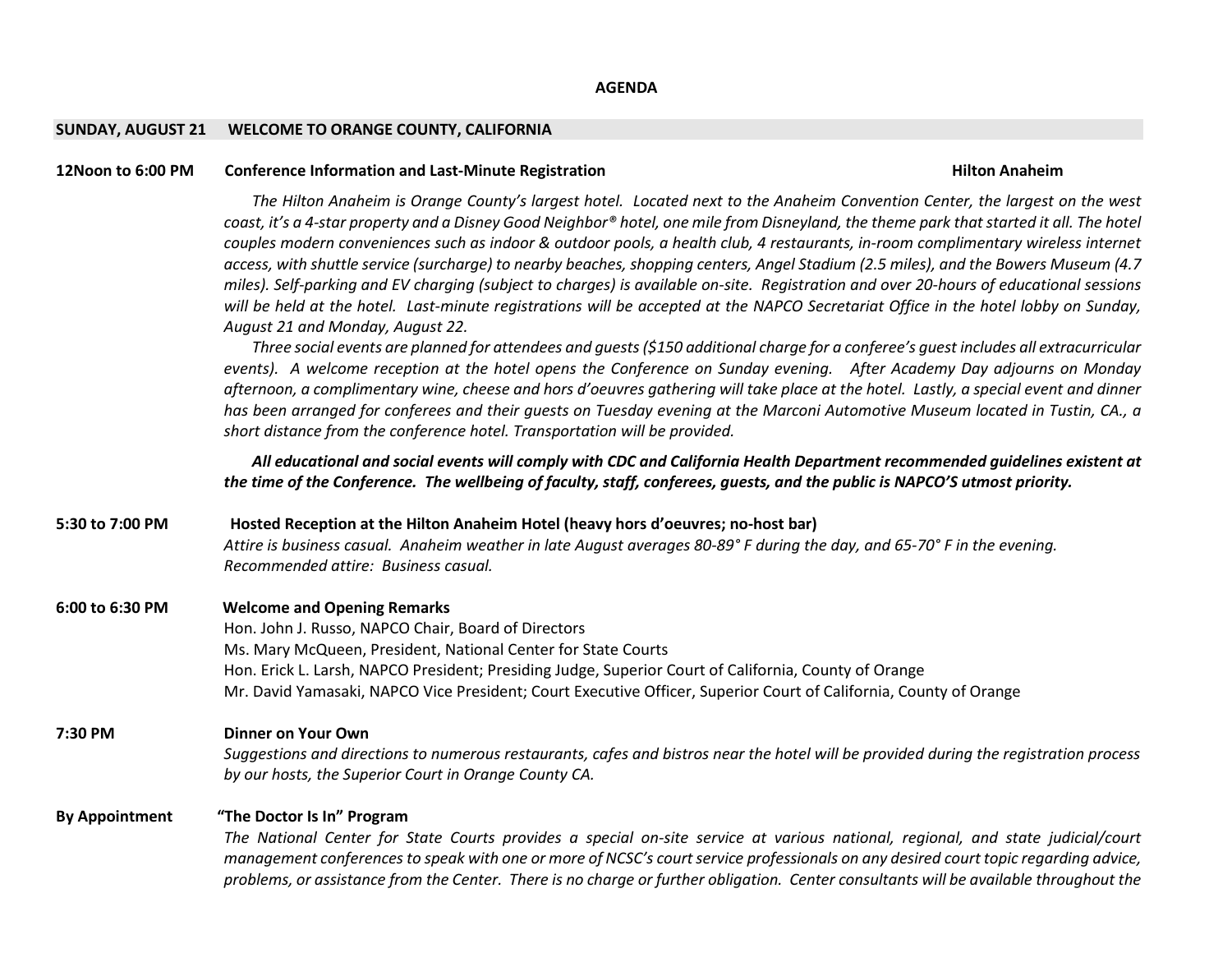#### SUNDAY, AUGUST 21 WELCOME TO ORANGE COUNTY, CALIFORNIA

### 12Noon to 6:00 PM Conference Information and Last-Minute Registration **Hilton Anaheim** Hilton Anaheim

The Hilton Anaheim is Orange County's largest hotel. Located next to the Anaheim Convention Center, the largest on the west coast, it's a 4-star property and a Disney Good Neighbor® hotel, one mile from Disneyland, the theme park that started it all. The hotel couples modern conveniences such as indoor & outdoor pools, a health club, 4 restaurants, in-room complimentary wireless internet access, with shuttle service (surcharge) to nearby beaches, shopping centers, Angel Stadium (2.5 miles), and the Bowers Museum (4.7 miles). Self-parking and EV charging (subject to charges) is available on-site. Registration and over 20-hours of educational sessions will be held at the hotel. Last-minute registrations will be accepted at the NAPCO Secretariat Office in the hotel lobby on Sunday, August 21 and Monday, August 22.

Three social events are planned for attendees and guests (\$150 additional charge for a conferee's guest includes all extracurricular events). A welcome reception at the hotel opens the Conference on Sunday evening. After Academy Day adjourns on Monday afternoon, a complimentary wine, cheese and hors d'oeuvres gathering will take place at the hotel. Lastly, a special event and dinner has been arranged for conferees and their guests on Tuesday evening at the Marconi Automotive Museum located in Tustin, CA., a short distance from the conference hotel. Transportation will be provided.

All educational and social events will comply with CDC and California Health Department recommended guidelines existent at the time of the Conference. The wellbeing of faculty, staff, conferees, guests, and the public is NAPCO'S utmost priority.

5:30 to 7:00 PM Hosted Reception at the Hilton Anaheim Hotel (heavy hors d'oeuvres; no-host bar) Attire is business casual. Anaheim weather in late August averages 80-89° F during the day, and 65-70° F in the evening. Recommended attire: Business casual.

#### 6:00 to 6:30 PMWelcome and Opening Remarks

Hon. John J. Russo, NAPCO Chair, Board of Directors Ms. Mary McQueen, President, National Center for State Courts Hon. Erick L. Larsh, NAPCO President; Presiding Judge, Superior Court of California, County of Orange Mr. David Yamasaki, NAPCO Vice President; Court Executive Officer, Superior Court of California, County of Orange

## 7:30 PM Dinner on Your Own

Suggestions and directions to numerous restaurants, cafes and bistros near the hotel will be provided during the registration process by our hosts, the Superior Court in Orange County CA.

## By Appointment "The Doctor Is In" Program

The National Center for State Courts provides a special on-site service at various national, regional, and state judicial/court management conferences to speak with one or more of NCSC's court service professionals on any desired court topic regarding advice, problems, or assistance from the Center. There is no charge or further obligation. Center consultants will be available throughout the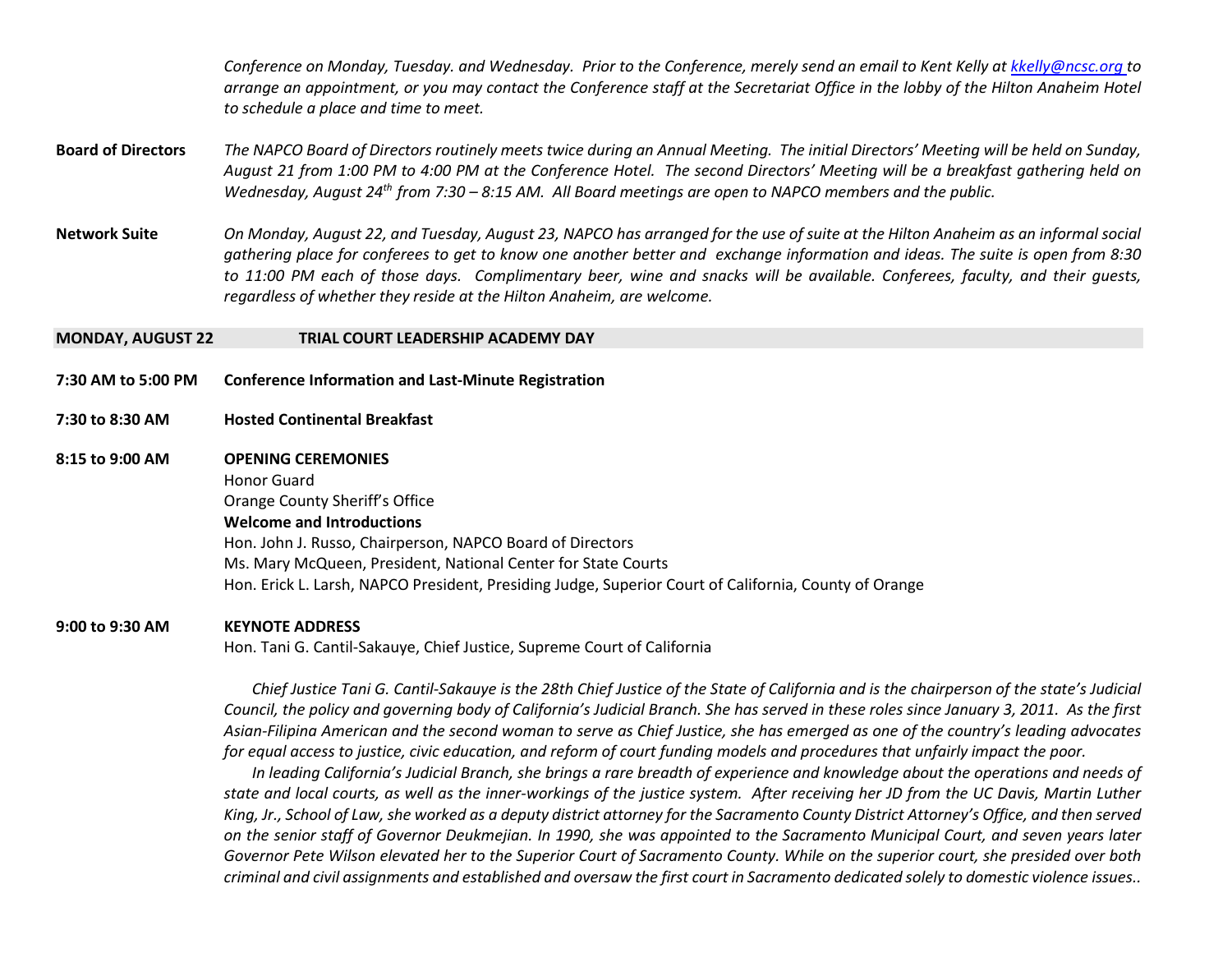Conference on Monday, Tuesday. and Wednesday. Prior to the Conference, merely send an email to Kent Kelly at <u>kkelly@ncsc.org t</u>o arrange an appointment, or you may contact the Conference staff at the Secretariat Office in the lobby of the Hilton Anaheim Hotel to schedule a place and time to meet.

- Board of Directors The NAPCO Board of Directors routinely meets twice during an Annual Meeting. The initial Directors' Meeting will be held on Sunday, August 21 from 1:00 PM to 4:00 PM at the Conference Hotel. The second Directors' Meeting will be a breakfast gathering held on Wednesday, August 24<sup>th</sup> from 7:30 – 8:15 AM. All Board meetings are open to NAPCO members and the public.
- Network Suite On Monday, August 22, and Tuesday, August 23, NAPCO has arranged for the use of suite at the Hilton Anaheim as an informal social gathering place for conferees to get to know one another better and exchange information and ideas. The suite is open from 8:30 to 11:00 PM each of those days. Complimentary beer, wine and snacks will be available. Conferees, faculty, and their guests, regardless of whether they reside at the Hilton Anaheim, are welcome.

#### MONDAY, AUGUST 22 TRIAL COURT LEADERSHIP ACADEMY DAY

- 7:30 AM to 5:00 PM Conference Information and Last-Minute Registration
- 7:30 to 8:30 AM Hosted Continental Breakfast
- 8:15 to 9:00 AM OPENING CEREMONIES Honor Guard Orange County Sheriff's Office Welcome and Introductions Hon. John J. Russo, Chairperson, NAPCO Board of Directors Ms. Mary McQueen, President, National Center for State Courts Hon. Erick L. Larsh, NAPCO President, Presiding Judge, Superior Court of California, County of Orange

### 9:00 to 9:30 AM KEYNOTE ADDRESS

Hon. Tani G. Cantil-Sakauye, Chief Justice, Supreme Court of California

Chief Justice Tani G. Cantil-Sakauye is the 28th Chief Justice of the State of California and is the chairperson of the state's Judicial Council, the policy and governing body of California's Judicial Branch. She has served in these roles since January 3, 2011. As the first Asian-Filipina American and the second woman to serve as Chief Justice, she has emerged as one of the country's leading advocates for equal access to justice, civic education, and reform of court funding models and procedures that unfairly impact the poor.

In leading California's Judicial Branch, she brings a rare breadth of experience and knowledge about the operations and needs of state and local courts, as well as the inner-workings of the justice system. After receiving her JD from the UC Davis, Martin Luther King, Jr., School of Law, she worked as a deputy district attorney for the Sacramento County District Attorney's Office, and then served on the senior staff of Governor Deukmejian. In 1990, she was appointed to the Sacramento Municipal Court, and seven years later Governor Pete Wilson elevated her to the Superior Court of Sacramento County. While on the superior court, she presided over both criminal and civil assignments and established and oversaw the first court in Sacramento dedicated solely to domestic violence issues..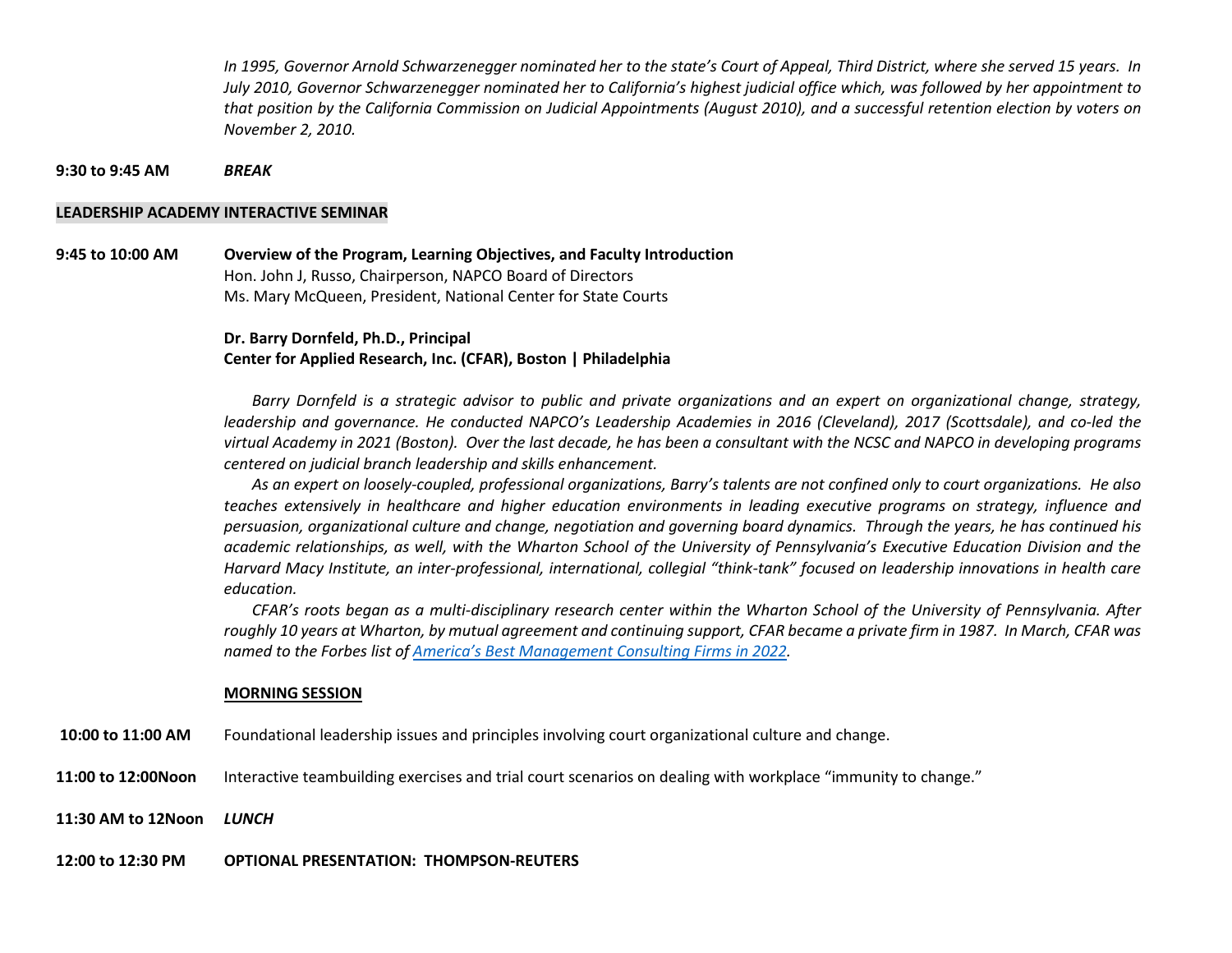In 1995, Governor Arnold Schwarzenegger nominated her to the state's Court of Appeal, Third District, where she served 15 years. In July 2010, Governor Schwarzenegger nominated her to California's highest judicial office which, was followed by her appointment to that position by the California Commission on Judicial Appointments (August 2010), and a successful retention election by voters on November 2, 2010.

9:30 to 9:45 AM**BRFAK** 

### LEADERSHIP ACADEMY INTERACTIVE SEMINAR

9:45 to 10:00 AM Overview of the Program, Learning Objectives, and Faculty Introduction Hon. John J, Russo, Chairperson, NAPCO Board of Directors Ms. Mary McQueen, President, National Center for State Courts

### Dr. Barry Dornfeld, Ph.D., Principal Center for Applied Research, Inc. (CFAR), Boston | Philadelphia

Barry Dornfeld is a strategic advisor to public and private organizations and an expert on organizational change, strategy, leadership and governance. He conducted NAPCO's Leadership Academies in 2016 (Cleveland), 2017 (Scottsdale), and co-led the virtual Academy in 2021 (Boston). Over the last decade, he has been a consultant with the NCSC and NAPCO in developing programs centered on judicial branch leadership and skills enhancement.

As an expert on loosely-coupled, professional organizations, Barry's talents are not confined only to court organizations. He also teaches extensively in healthcare and higher education environments in leading executive programs on strategy, influence and persuasion, organizational culture and change, negotiation and governing board dynamics. Through the years, he has continued his academic relationships, as well, with the Wharton School of the University of Pennsylvania's Executive Education Division and the Harvard Macy Institute, an inter-professional, international, collegial "think-tank" focused on leadership innovations in health care education.

CFAR's roots began as a multi-disciplinary research center within the Wharton School of the University of Pennsylvania. After roughly 10 years at Wharton, by mutual agreement and continuing support, CFAR became a private firm in 1987. In March, CFAR was named to the Forbes list of America's Best Management Consulting Firms in 2022.

#### MORNING SESSION

- 10:00 to 11:00 AM Foundational leadership issues and principles involving court organizational culture and change.
- 11:00 to 12:00Noon Interactive teambuilding exercises and trial court scenarios on dealing with workplace "immunity to change."
- 11:30 AM to 12Noon LUNCH
- 12:00 to 12:30 PM OPTIONAL PRESENTATION: THOMPSON-REUTERS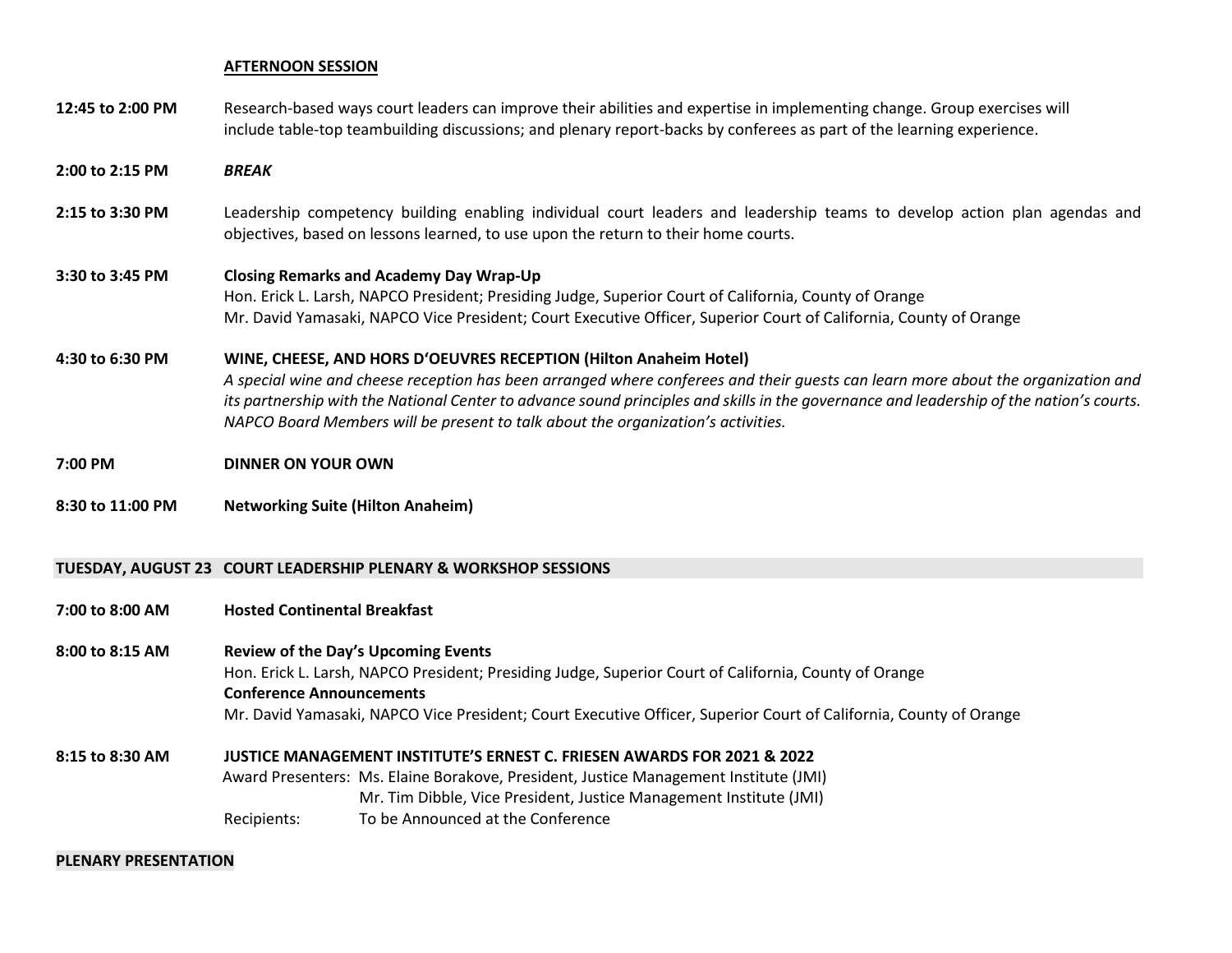#### AFTERNOON SESSION

- 12:45 to 2:00 PM Research-based ways court leaders can improve their abilities and expertise in implementing change. Group exercises will include table-top teambuilding discussions; and plenary report-backs by conferees as part of the learning experience.
- 2:00 to 2:15 PM BRFAK
- 2:15 to 3:30 PM Leadership competency building enabling individual court leaders and leadership teams to develop action plan agendas and objectives, based on lessons learned, to use upon the return to their home courts.

### 3:30 to 3:45 PM Closing Remarks and Academy Day Wrap-Up

 Hon. Erick L. Larsh, NAPCO President; Presiding Judge, Superior Court of California, County of Orange Mr. David Yamasaki, NAPCO Vice President; Court Executive Officer, Superior Court of California, County of Orange

#### 4:30 to 6:30 PM WINE, CHEESE, AND HORS D'OEUVRES RECEPTION (Hilton Anaheim Hotel)

A special wine and cheese reception has been arranged where conferees and their guests can learn more about the organization and its partnership with the National Center to advance sound principles and skills in the governance and leadership of the nation's courts. NAPCO Board Members will be present to talk about the organization's activities.

### 7:00 PM DINNER ON YOUR OWN

#### 8:30 to 11:00 PMNetworking Suite (Hilton Anaheim)

## TUESDAY, AUGUST 23 COURT LEADERSHIP PLENARY & WORKSHOP SESSIONS

### 7:00 to 8:00 AM Hosted Continental Breakfast

#### 8:00 to 8:15 AM Review of the Day's Upcoming Events

 Hon. Erick L. Larsh, NAPCO President; Presiding Judge, Superior Court of California, County of Orange Conference Announcements Mr. David Yamasaki, NAPCO Vice President; Court Executive Officer, Superior Court of California, County of Orange

# 8:15 to 8:30 AM JUSTICE MANAGEMENT INSTITUTE'S ERNEST C. FRIESEN AWARDS FOR 2021 & 2022

Award Presenters: Ms. Elaine Borakove, President, Justice Management Institute (JMI) Mr. Tim Dibble, Vice President, Justice Management Institute (JMI)

Recipients: To be Announced at the Conference

#### PLENARY PRESENTATION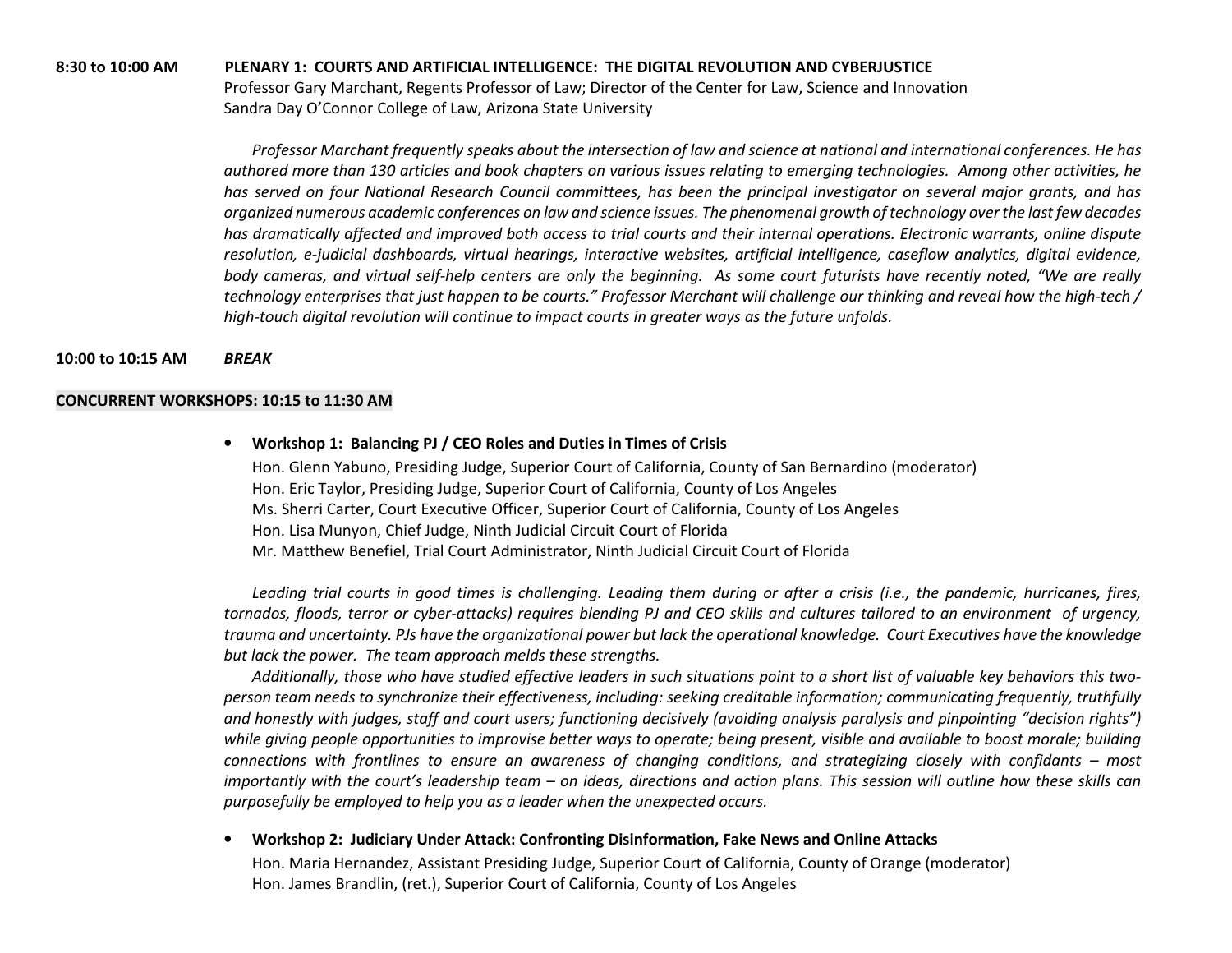### 8:30 to 10:00 AM PLENARY 1: COURTS AND ARTIFICIAL INTELLIGENCE: THE DIGITAL REVOLUTION AND CYBERJUSTICE

 Professor Gary Marchant, Regents Professor of Law; Director of the Center for Law, Science and Innovation Sandra Day O'Connor College of Law, Arizona State University

Professor Marchant frequently speaks about the intersection of law and science at national and international conferences. He has authored more than 130 articles and book chapters on various issues relating to emerging technologies. Among other activities, he has served on four National Research Council committees, has been the principal investigator on several major grants, and has organized numerous academic conferences on law and science issues. The phenomenal growth of technology over the last few decades has dramatically affected and improved both access to trial courts and their internal operations. Electronic warrants, online dispute resolution, e-judicial dashboards, virtual hearings, interactive websites, artificial intelligence, caseflow analytics, digital evidence, body cameras, and virtual self-help centers are only the beginning. As some court futurists have recently noted, "We are really technology enterprises that just happen to be courts." Professor Merchant will challenge our thinking and reveal how the high-tech / high-touch digital revolution will continue to impact courts in greater ways as the future unfolds.

#### 10:00 to 10:15 AM BREAK

#### CONCURRENT WORKSHOPS: 10:15 to 11:30 AM

• Workshop 1: Balancing PJ / CEO Roles and Duties in Times of Crisis Hon. Glenn Yabuno, Presiding Judge, Superior Court of California, County of San Bernardino (moderator) Hon. Eric Taylor, Presiding Judge, Superior Court of California, County of Los Angeles Ms. Sherri Carter, Court Executive Officer, Superior Court of California, County of Los Angeles Hon. Lisa Munyon, Chief Judge, Ninth Judicial Circuit Court of Florida Mr. Matthew Benefiel, Trial Court Administrator, Ninth Judicial Circuit Court of Florida

Leading trial courts in good times is challenging. Leading them during or after a crisis (i.e., the pandemic, hurricanes, fires, tornados, floods, terror or cyber-attacks) requires blending PJ and CEO skills and cultures tailored to an environment of urgency, trauma and uncertainty. PJs have the organizational power but lack the operational knowledge. Court Executives have the knowledge but lack the power. The team approach melds these strengths.

Additionally, those who have studied effective leaders in such situations point to a short list of valuable key behaviors this twoperson team needs to synchronize their effectiveness, including: seeking creditable information; communicating frequently, truthfully and honestly with judges, staff and court users; functioning decisively (avoiding analysis paralysis and pinpointing "decision rights") while giving people opportunities to improvise better ways to operate; being present, visible and available to boost morale; building connections with frontlines to ensure an awareness of changing conditions, and strategizing closely with confidants – most importantly with the court's leadership team – on ideas, directions and action plans. This session will outline how these skills can purposefully be employed to help you as a leader when the unexpected occurs.

• Workshop 2: Judiciary Under Attack: Confronting Disinformation, Fake News and Online Attacks

Hon. Maria Hernandez, Assistant Presiding Judge, Superior Court of California, County of Orange (moderator)Hon. James Brandlin, (ret.), Superior Court of California, County of Los Angeles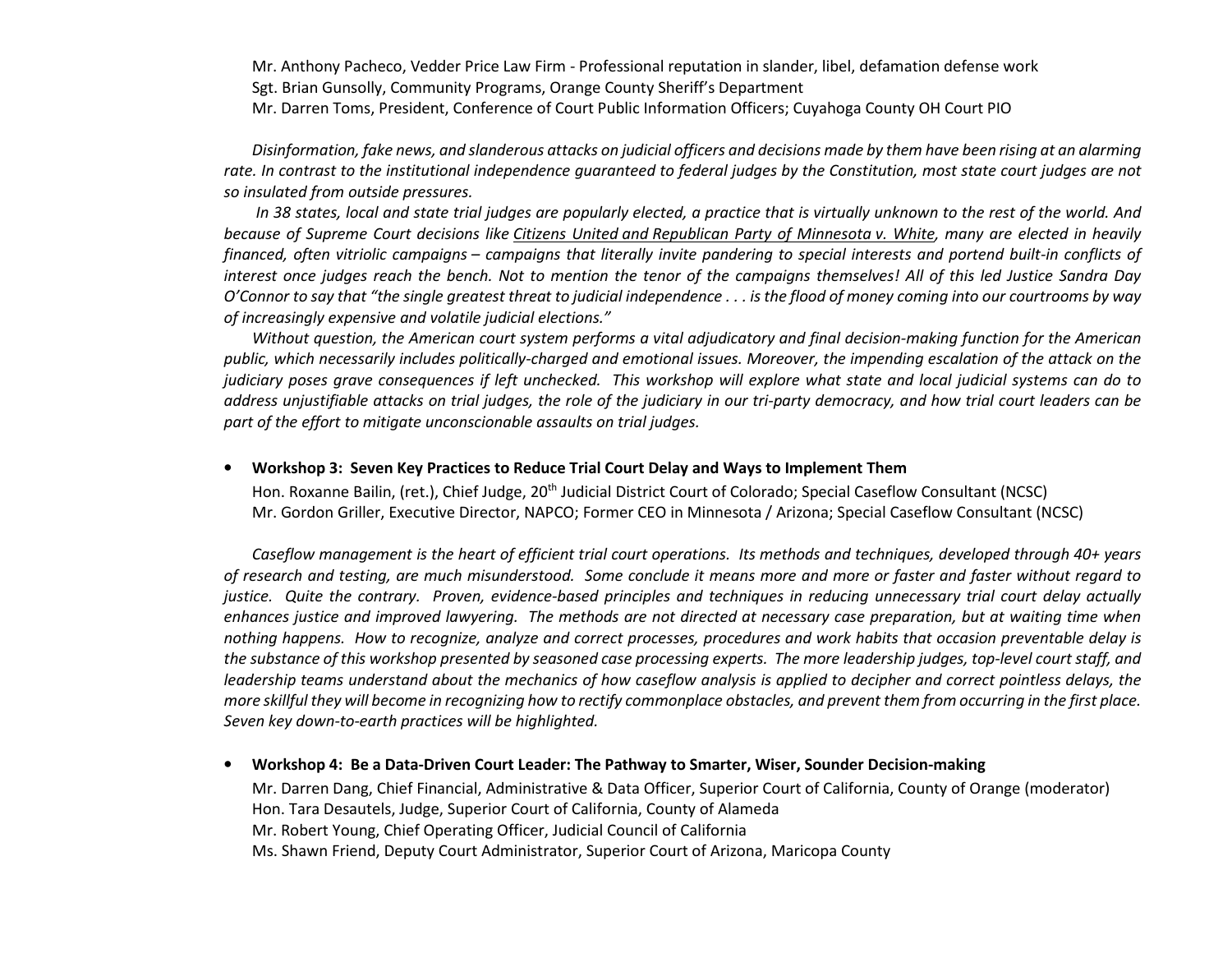Mr. Anthony Pacheco, Vedder Price Law Firm - Professional reputation in slander, libel, defamation defense work

Sgt. Brian Gunsolly, Community Programs, Orange County Sheriff's Department

Mr. Darren Toms, President, Conference of Court Public Information Officers; Cuyahoga County OH Court PIO

Disinformation, fake news, and slanderous attacks on judicial officers and decisions made by them have been rising at an alarming rate. In contrast to the institutional independence guaranteed to federal judges by the Constitution, most state court judges are not so insulated from outside pressures.

 In 38 states, local and state trial judges are popularly elected, a practice that is virtually unknown to the rest of the world. And because of Supreme Court decisions like Citizens United and Republican Party of Minnesota v. White, many are elected in heavily financed, often vitriolic campaigns – campaigns that literally invite pandering to special interests and portend built-in conflicts of interest once judges reach the bench. Not to mention the tenor of the campaigns themselves! All of this led Justice Sandra Day O'Connor to say that "the single greatest threat to judicial independence . . . is the flood of money coming into our courtrooms by way of increasingly expensive and volatile judicial elections."

Without question, the American court system performs a vital adjudicatory and final decision-making function for the American public, which necessarily includes politically-charged and emotional issues. Moreover, the impending escalation of the attack on the judiciary poses grave consequences if left unchecked. This workshop will explore what state and local judicial systems can do to address unjustifiable attacks on trial judges, the role of the judiciary in our tri-party democracy, and how trial court leaders can be part of the effort to mitigate unconscionable assaults on trial judges.

#### $\bullet$ Workshop 3: Seven Key Practices to Reduce Trial Court Delay and Ways to Implement Them

Hon. Roxanne Bailin, (ret.), Chief Judge, 20th Judicial District Court of Colorado; Special Caseflow Consultant (NCSC) Mr. Gordon Griller, Executive Director, NAPCO; Former CEO in Minnesota / Arizona; Special Caseflow Consultant (NCSC)

Caseflow management is the heart of efficient trial court operations. Its methods and techniques, developed through 40+ years of research and testing, are much misunderstood. Some conclude it means more and more or faster and faster without regard to justice. Quite the contrary. Proven, evidence-based principles and techniques in reducing unnecessary trial court delay actually enhances justice and improved lawyering. The methods are not directed at necessary case preparation, but at waiting time when nothing happens. How to recognize, analyze and correct processes, procedures and work habits that occasion preventable delay is the substance of this workshop presented by seasoned case processing experts. The more leadership judges, top-level court staff, and leadership teams understand about the mechanics of how caseflow analysis is applied to decipher and correct pointless delays, the more skillful they will become in recognizing how to rectify commonplace obstacles, and prevent them from occurring in the first place. Seven key down-to-earth practices will be highlighted.

•Workshop 4: Be a Data-Driven Court Leader: The Pathway to Smarter, Wiser, Sounder Decision-making

Mr. Darren Dang, Chief Financial, Administrative & Data Officer, Superior Court of California, County of Orange (moderator)Hon. Tara Desautels, Judge, Superior Court of California, County of Alameda Mr. Robert Young, Chief Operating Officer, Judicial Council of California Ms. Shawn Friend, Deputy Court Administrator, Superior Court of Arizona, Maricopa County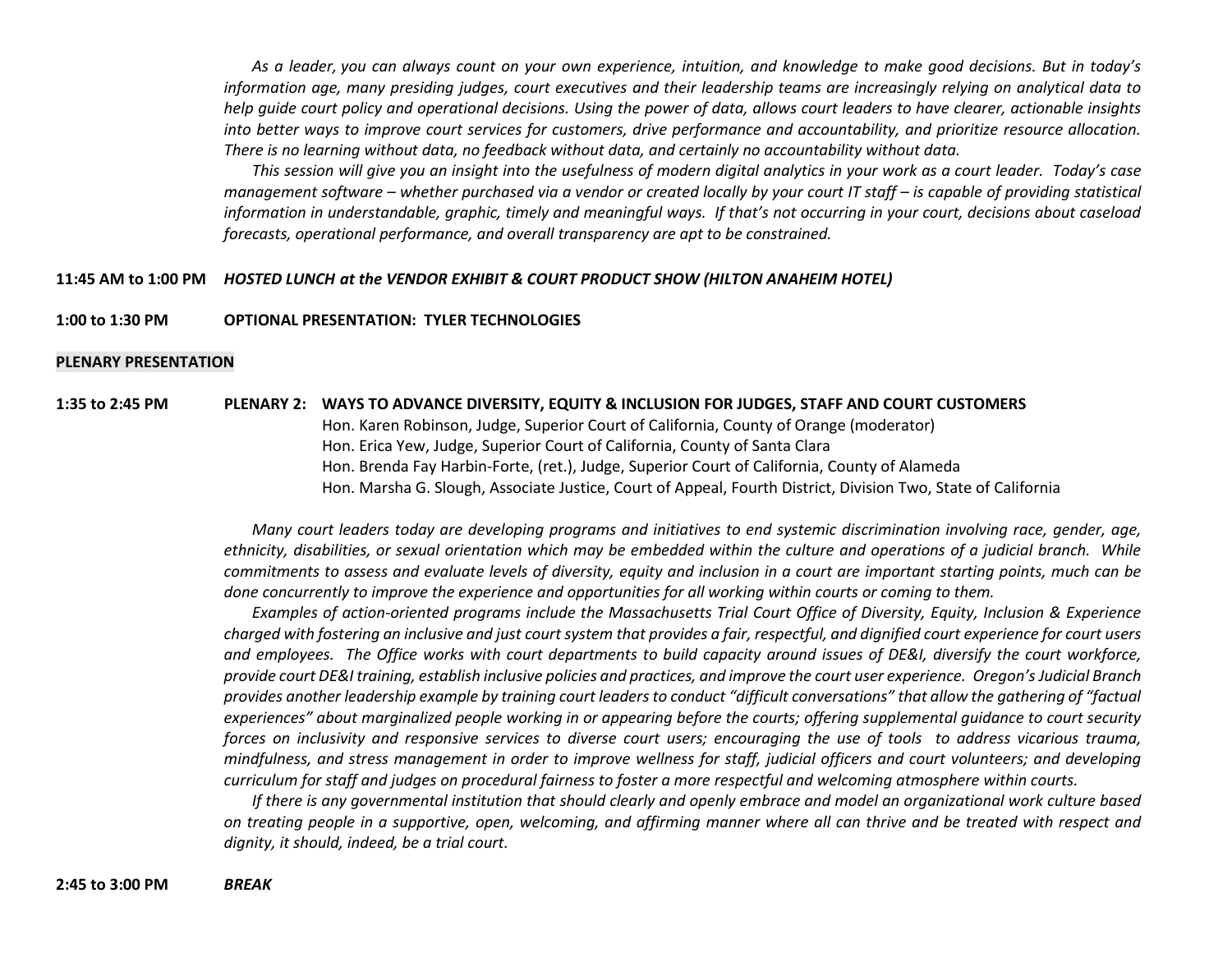As a leader, you can always count on your own experience, intuition, and knowledge to make good decisions. But in today's information age, many presiding judges, court executives and their leadership teams are increasingly relying on analytical data to help guide court policy and operational decisions. Using the power of data, allows court leaders to have clearer, actionable insights into better ways to improve court services for customers, drive performance and accountability, and prioritize resource allocation. There is no learning without data, no feedback without data, and certainly no accountability without data.

This session will give you an insight into the usefulness of modern digital analytics in your work as a court leader. Today's case management software – whether purchased via a vendor or created locally by your court IT staff – is capable of providing statistical information in understandable, graphic, timely and meaningful ways. If that's not occurring in your court, decisions about caseload forecasts, operational performance, and overall transparency are apt to be constrained.

### 11:45 AM to 1:00 PM HOSTED LUNCH at the VENDOR EXHIBIT & COURT PRODUCT SHOW (HILTON ANAHEIM HOTEL)

#### 1:00 to 1:30 PMOPTIONAL PRESENTATION: TYLER TECHNOLOGIES

#### PLENARY PRESENTATION

1:35 to 2:45 PM PLENARY 2: WAYS TO ADVANCE DIVERSITY, EQUITY & INCLUSION FOR JUDGES, STAFF AND COURT CUSTOMERS Hon. Karen Robinson, Judge, Superior Court of California, County of Orange (moderator) Hon. Erica Yew, Judge, Superior Court of California, County of Santa Clara Hon. Brenda Fay Harbin-Forte, (ret.), Judge, Superior Court of California, County of Alameda Hon. Marsha G. Slough, Associate Justice, Court of Appeal, Fourth District, Division Two, State of California

> Many court leaders today are developing programs and initiatives to end systemic discrimination involving race, gender, age, ethnicity, disabilities, or sexual orientation which may be embedded within the culture and operations of a judicial branch. While commitments to assess and evaluate levels of diversity, equity and inclusion in a court are important starting points, much can be done concurrently to improve the experience and opportunities for all working within courts or coming to them.

> Examples of action-oriented programs include the Massachusetts Trial Court Office of Diversity, Equity, Inclusion & Experience charged with fostering an inclusive and just court system that provides a fair, respectful, and dignified court experience for court users and employees. The Office works with court departments to build capacity around issues of DE&I, diversify the court workforce, provide court DE&I training, establish inclusive policies and practices, and improve the court user experience. Oregon's Judicial Branch provides another leadership example by training court leaders to conduct "difficult conversations" that allow the gathering of "factual experiences" about marginalized people working in or appearing before the courts; offering supplemental guidance to court security forces on inclusivity and responsive services to diverse court users; encouraging the use of tools to address vicarious trauma, mindfulness, and stress management in order to improve wellness for staff, judicial officers and court volunteers; and developing curriculum for staff and judges on procedural fairness to foster a more respectful and welcoming atmosphere within courts.

> If there is any governmental institution that should clearly and openly embrace and model an organizational work culture based on treating people in a supportive, open, welcoming, and affirming manner where all can thrive and be treated with respect and dignity, it should, indeed, be a trial court.

2:45 to 3:00 PM BREAK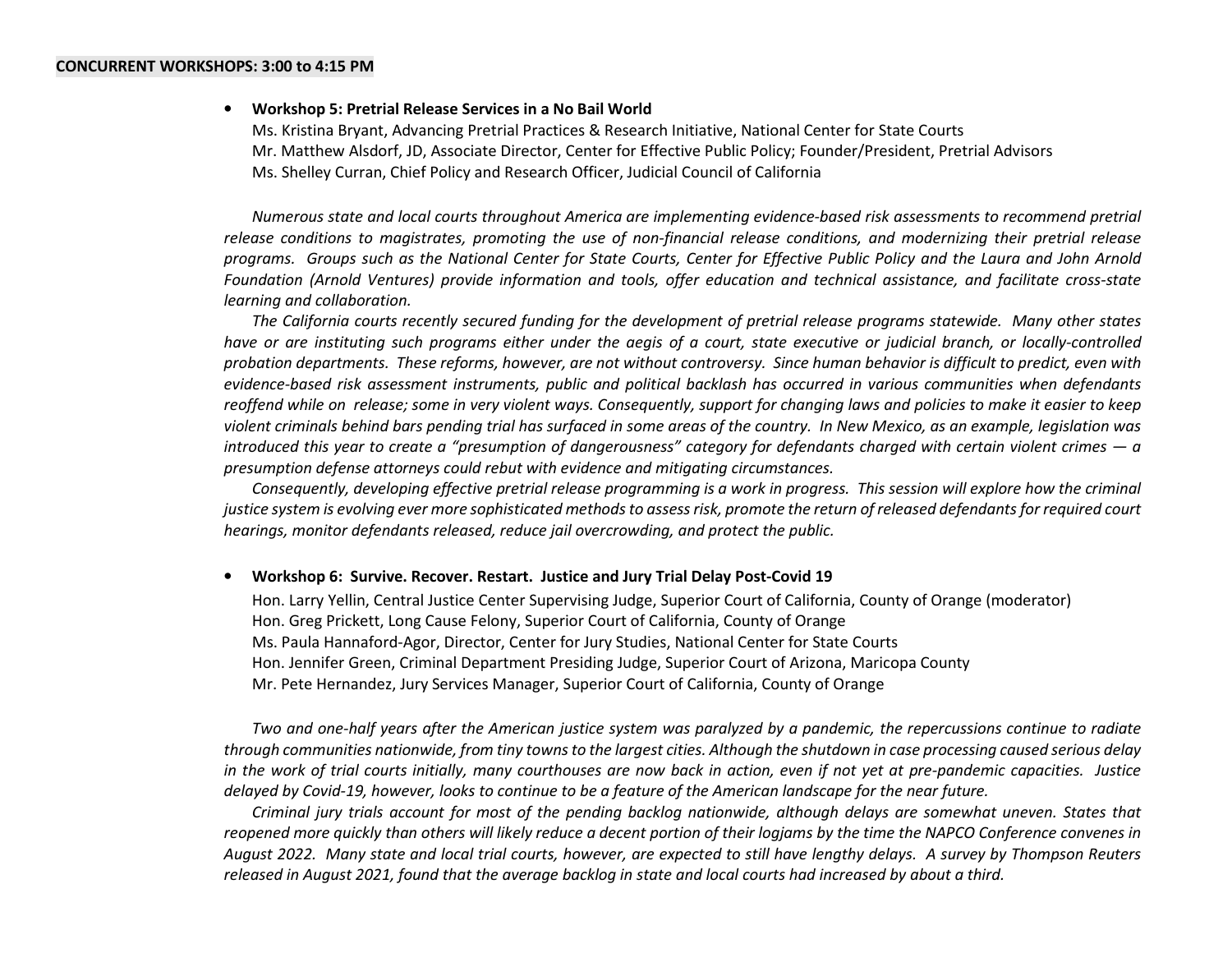#### •Workshop 5: Pretrial Release Services in a No Bail World

Ms. Kristina Bryant, Advancing Pretrial Practices & Research Initiative, National Center for State Courts Mr. Matthew Alsdorf, JD, Associate Director, Center for Effective Public Policy; Founder/President, Pretrial Advisors Ms. Shelley Curran, Chief Policy and Research Officer, Judicial Council of California

Numerous state and local courts throughout America are implementing evidence-based risk assessments to recommend pretrial release conditions to magistrates, promoting the use of non-financial release conditions, and modernizing their pretrial release programs. Groups such as the National Center for State Courts, Center for Effective Public Policy and the Laura and John Arnold Foundation (Arnold Ventures) provide information and tools, offer education and technical assistance, and facilitate cross-state learning and collaboration.

The California courts recently secured funding for the development of pretrial release programs statewide. Many other states have or are instituting such programs either under the aegis of a court, state executive or judicial branch, or locally-controlled probation departments. These reforms, however, are not without controversy. Since human behavior is difficult to predict, even with evidence-based risk assessment instruments, public and political backlash has occurred in various communities when defendants reoffend while on release; some in very violent ways. Consequently, support for changing laws and policies to make it easier to keep violent criminals behind bars pending trial has surfaced in some areas of the country. In New Mexico, as an example, legislation was introduced this year to create a "presumption of dangerousness" category for defendants charged with certain violent crimes — a presumption defense attorneys could rebut with evidence and mitigating circumstances.

Consequently, developing effective pretrial release programming is a work in progress. This session will explore how the criminal justice system is evolving ever more sophisticated methods to assess risk, promote the return of released defendants for required court hearings, monitor defendants released, reduce jail overcrowding, and protect the public.

#### •Workshop 6: Survive. Recover. Restart. Justice and Jury Trial Delay Post-Covid 19

Hon. Larry Yellin, Central Justice Center Supervising Judge, Superior Court of California, County of Orange (moderator) Hon. Greg Prickett, Long Cause Felony, Superior Court of California, County of Orange Ms. Paula Hannaford-Agor, Director, Center for Jury Studies, National Center for State Courts Hon. Jennifer Green, Criminal Department Presiding Judge, Superior Court of Arizona, Maricopa County Mr. Pete Hernandez, Jury Services Manager, Superior Court of California, County of Orange

Two and one-half years after the American justice system was paralyzed by a pandemic, the repercussions continue to radiate through communities nationwide, from tiny towns to the largest cities. Although the shutdown in case processing caused serious delay in the work of trial courts initially, many courthouses are now back in action, even if not yet at pre-pandemic capacities. Justice delayed by Covid-19, however, looks to continue to be a feature of the American landscape for the near future.

Criminal jury trials account for most of the pending backlog nationwide, although delays are somewhat uneven. States that reopened more quickly than others will likely reduce a decent portion of their logjams by the time the NAPCO Conference convenes in August 2022. Many state and local trial courts, however, are expected to still have lengthy delays. A survey by Thompson Reuters released in August 2021, found that the average backlog in state and local courts had increased by about a third.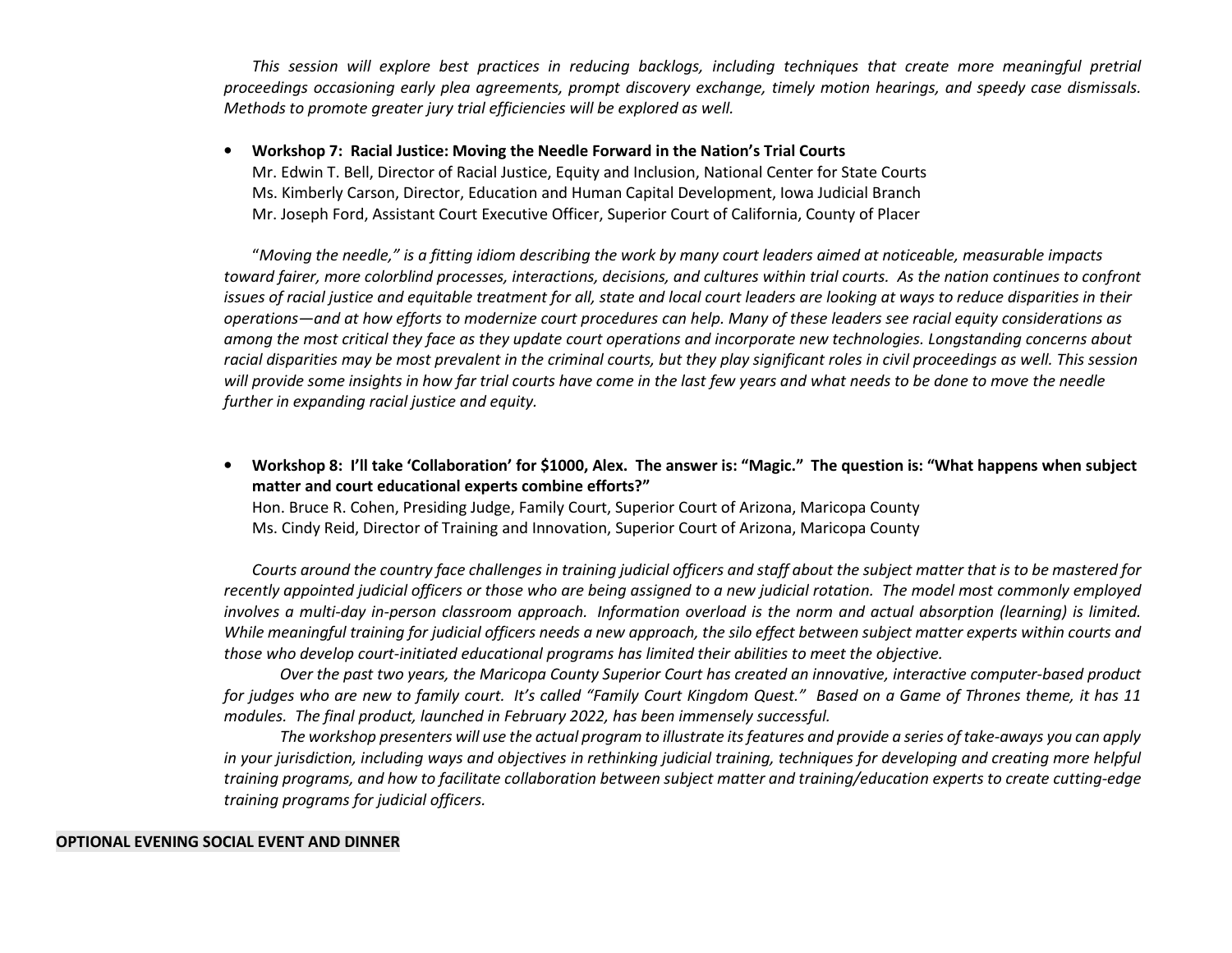This session will explore best practices in reducing backlogs, including techniques that create more meaningful pretrial proceedings occasioning early plea agreements, prompt discovery exchange, timely motion hearings, and speedy case dismissals. Methods to promote greater jury trial efficiencies will be explored as well.

#### •Workshop 7: Racial Justice: Moving the Needle Forward in the Nation's Trial Courts

 Mr. Edwin T. Bell, Director of Racial Justice, Equity and Inclusion, National Center for State Courts Ms. Kimberly Carson, Director, Education and Human Capital Development, Iowa Judicial Branch Mr. Joseph Ford, Assistant Court Executive Officer, Superior Court of California, County of Placer

 "Moving the needle," is a fitting idiom describing the work by many court leaders aimed at noticeable, measurable impacts toward fairer, more colorblind processes, interactions, decisions, and cultures within trial courts. As the nation continues to confront issues of racial justice and equitable treatment for all, state and local court leaders are looking at ways to reduce disparities in their operations—and at how efforts to modernize court procedures can help. Many of these leaders see racial equity considerations as among the most critical they face as they update court operations and incorporate new technologies. Longstanding concerns about racial disparities may be most prevalent in the criminal courts, but they play significant roles in civil proceedings as well. This session will provide some insights in how far trial courts have come in the last few years and what needs to be done to move the needle further in expanding racial justice and equity.

• Workshop 8: I'll take 'Collaboration' for \$1000, Alex. The answer is: "Magic." The question is: "What happens when subject matter and court educational experts combine efforts?"

Hon. Bruce R. Cohen, Presiding Judge, Family Court, Superior Court of Arizona, Maricopa County Ms. Cindy Reid, Director of Training and Innovation, Superior Court of Arizona, Maricopa County

Courts around the country face challenges in training judicial officers and staff about the subject matter that is to be mastered for recently appointed judicial officers or those who are being assigned to a new judicial rotation. The model most commonly employed involves a multi-day in-person classroom approach. Information overload is the norm and actual absorption (learning) is limited. While meaningful training for judicial officers needs a new approach, the silo effect between subject matter experts within courts and those who develop court-initiated educational programs has limited their abilities to meet the objective.

 Over the past two years, the Maricopa County Superior Court has created an innovative, interactive computer-based product for judges who are new to family court. It's called "Family Court Kingdom Quest." Based on a Game of Thrones theme, it has 11 modules. The final product, launched in February 2022, has been immensely successful.

 The workshop presenters will use the actual program to illustrate its features and provide a series of take-aways you can apply in your jurisdiction, including ways and objectives in rethinking judicial training, techniques for developing and creating more helpful training programs, and how to facilitate collaboration between subject matter and training/education experts to create cutting-edge training programs for judicial officers.

#### OPTIONAL EVENING SOCIAL EVENT AND DINNER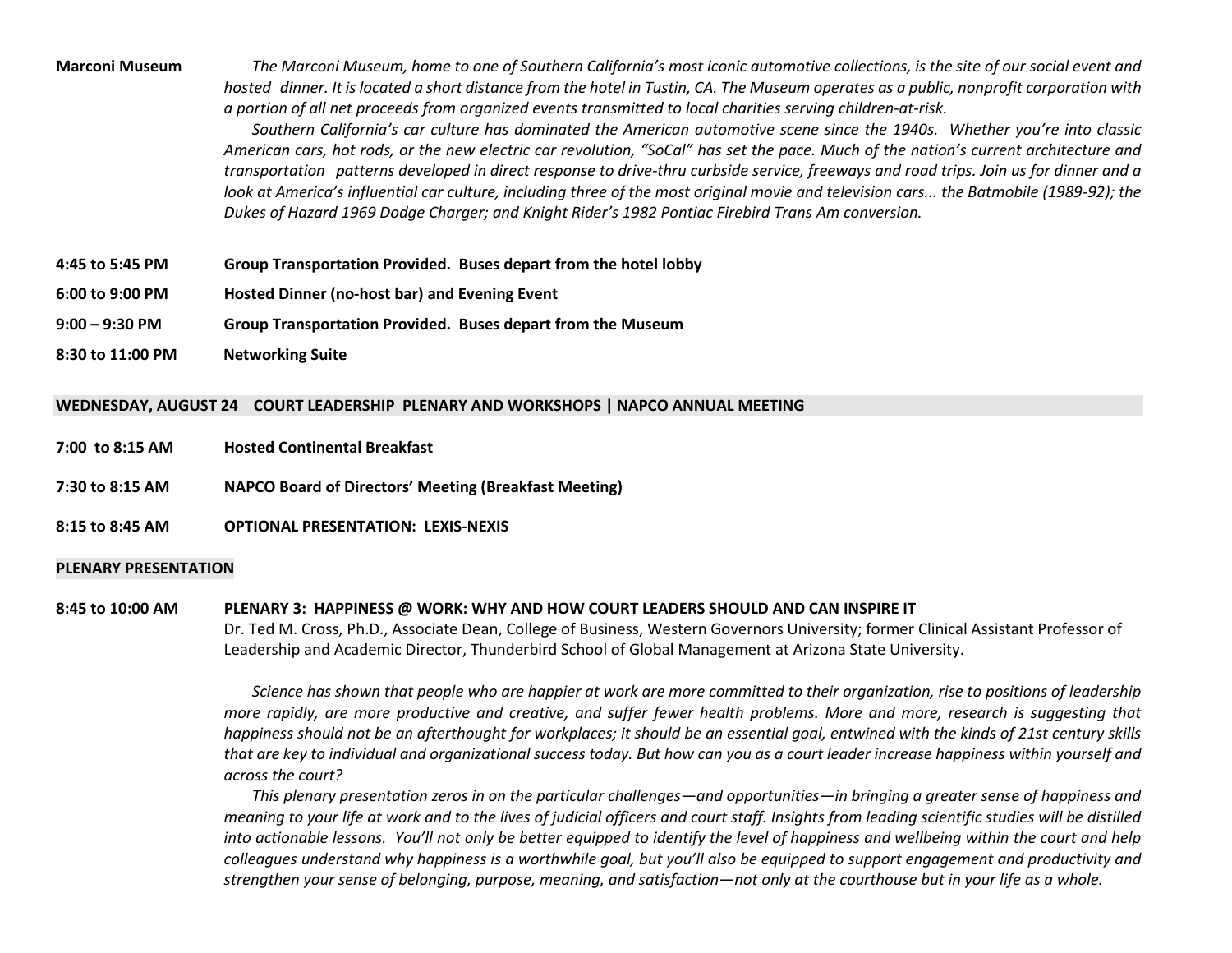Marconi Museum The Marconi Museum, home to one of Southern California's most iconic automotive collections, is the site of our social event and hosted dinner. It is located a short distance from the hotel in Tustin, CA. The Museum operates as a public, nonprofit corporation with a portion of all net proceeds from organized events transmitted to local charities serving children-at-risk.

> Southern California's car culture has dominated the American automotive scene since the 1940s. Whether you're into classic American cars, hot rods, or the new electric car revolution, "SoCal" has set the pace. Much of the nation's current architecture and transportation patterns developed in direct response to drive-thru curbside service, freeways and road trips. Join us for dinner and a look at America's influential car culture, including three of the most original movie and television cars... the Batmobile (1989-92); the Dukes of Hazard 1969 Dodge Charger; and Knight Rider's 1982 Pontiac Firebird Trans Am conversion.

- 4:45 to 5:45 PM Group Transportation Provided. Buses depart from the hotel lobby
- 6:00 to 9:00 PM Hosted Dinner (no-host bar) and Evening Event
- 9:00 9:30 PM Group Transportation Provided. Buses depart from the Museum
- 8:30 to 11:00 PMNetworking Suite

### WEDNESDAY, AUGUST 24 COURT LEADERSHIP PLENARY AND WORKSHOPS | NAPCO ANNUAL MEETING

- 7:00 to 8:15 AM Hosted Continental Breakfast
- 7:30 to 8:15 AM NAPCO Board of Directors' Meeting (Breakfast Meeting)
- 8:15 to 8:45 AM OPTIONAL PRESENTATION: LEXIS-NEXIS

#### PLENARY PRESENTATION

#### 8:45 to 10:00 AM PLENARY 3: HAPPINESS @ WORK: WHY AND HOW COURT LEADERS SHOULD AND CAN INSPIRE IT

Dr. Ted M. Cross, Ph.D., Associate Dean, College of Business, Western Governors University; former Clinical Assistant Professor of Leadership and Academic Director, Thunderbird School of Global Management at Arizona State University.

Science has shown that people who are happier at work are more committed to their organization, rise to positions of leadership more rapidly, are more productive and creative, and suffer fewer health problems. More and more, research is suggesting that happiness should not be an afterthought for workplaces; it should be an essential goal, entwined with the kinds of 21st century skills that are key to individual and organizational success today. But how can you as a court leader increase happiness within yourself and across the court?

This plenary presentation zeros in on the particular challenges—and opportunities—in bringing a greater sense of happiness and meaning to your life at work and to the lives of judicial officers and court staff. Insights from leading scientific studies will be distilled into actionable lessons. You'll not only be better equipped to identify the level of happiness and wellbeing within the court and help colleagues understand why happiness is a worthwhile goal, but you'll also be equipped to support engagement and productivity and strengthen your sense of belonging, purpose, meaning, and satisfaction—not only at the courthouse but in your life as a whole.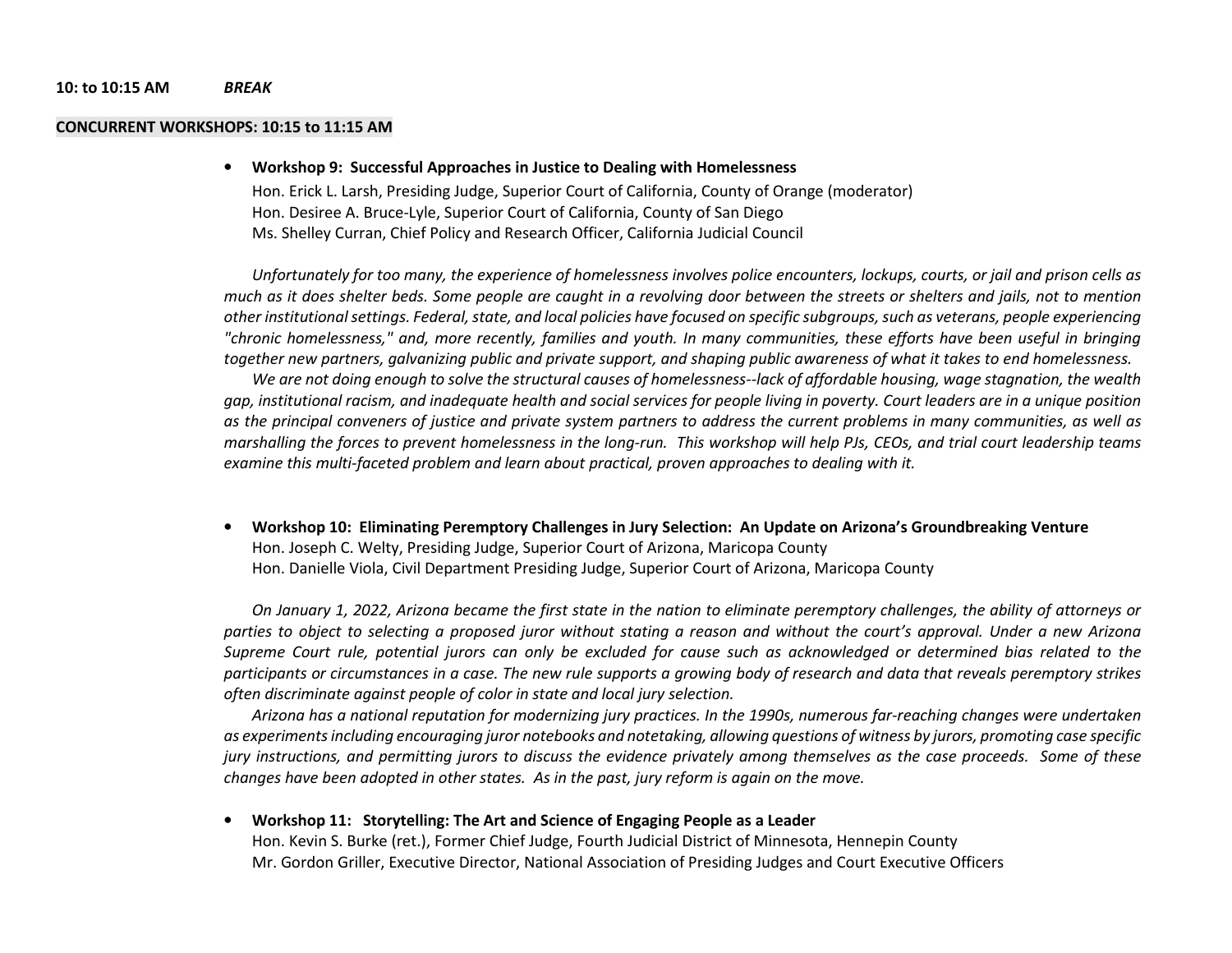#### 10: to 10:15 AM BREAK

#### CONCURRENT WORKSHOPS: 10:15 to 11:15 AM

#### •Workshop 9: Successful Approaches in Justice to Dealing with Homelessness

Hon. Erick L. Larsh, Presiding Judge, Superior Court of California, County of Orange (moderator) Hon. Desiree A. Bruce-Lyle, Superior Court of California, County of San Diego Ms. Shelley Curran, Chief Policy and Research Officer, California Judicial Council

Unfortunately for too many, the experience of homelessness involves police encounters, lockups, courts, or jail and prison cells as much as it does shelter beds. Some people are caught in a revolving door between the streets or shelters and jails, not to mention other institutional settings. Federal, state, and local policies have focused on specific subgroups, such as veterans, people experiencing "chronic homelessness," and, more recently, families and youth. In many communities, these efforts have been useful in bringing together new partners, galvanizing public and private support, and shaping public awareness of what it takes to end homelessness.

We are not doing enough to solve the structural causes of homelessness--lack of affordable housing, wage stagnation, the wealth gap, institutional racism, and inadequate health and social services for people living in poverty. Court leaders are in a unique position as the principal conveners of justice and private system partners to address the current problems in many communities, as well as marshalling the forces to prevent homelessness in the long-run. This workshop will help PJs, CEOs, and trial court leadership teams examine this multi-faceted problem and learn about practical, proven approaches to dealing with it.

• Workshop 10: Eliminating Peremptory Challenges in Jury Selection: An Update on Arizona's Groundbreaking Venture Hon. Joseph C. Welty, Presiding Judge, Superior Court of Arizona, Maricopa County Hon. Danielle Viola, Civil Department Presiding Judge, Superior Court of Arizona, Maricopa County

On January 1, 2022, Arizona became the first state in the nation to eliminate peremptory challenges, the ability of attorneys or parties to object to selecting a proposed juror without stating a reason and without the court's approval. Under a new Arizona Supreme Court rule, potential jurors can only be excluded for cause such as acknowledged or determined bias related to the participants or circumstances in a case. The new rule supports a growing body of research and data that reveals peremptory strikes often discriminate against people of color in state and local jury selection.

Arizona has a national reputation for modernizing jury practices. In the 1990s, numerous far-reaching changes were undertaken as experiments including encouraging juror notebooks and notetaking, allowing questions of witness by jurors, promoting case specific jury instructions, and permitting jurors to discuss the evidence privately among themselves as the case proceeds. Some of these changes have been adopted in other states. As in the past, jury reform is again on the move.

#### •Workshop 11: Storytelling: The Art and Science of Engaging People as a Leader

Hon. Kevin S. Burke (ret.), Former Chief Judge, Fourth Judicial District of Minnesota, Hennepin County Mr. Gordon Griller, Executive Director, National Association of Presiding Judges and Court Executive Officers